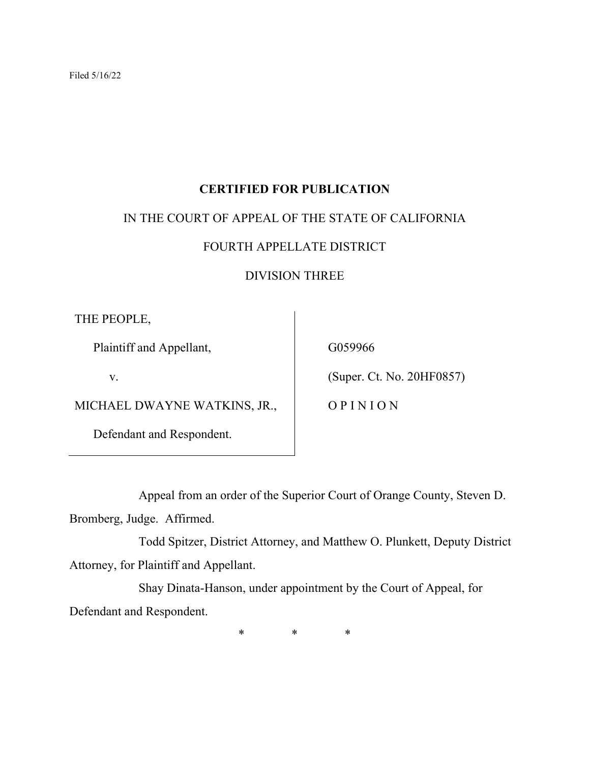# **CERTIFIED FOR PUBLICATION**

## IN THE COURT OF APPEAL OF THE STATE OF CALIFORNIA

# FOURTH APPELLATE DISTRICT

## DIVISION THREE

THE PEOPLE,

Plaintiff and Appellant,

v.

MICHAEL DWAYNE WATKINS, JR.,

Defendant and Respondent.

G059966

(Super. Ct. No. 20HF0857)

O P I N I O N

Appeal from an order of the Superior Court of Orange County, Steven D.

Bromberg, Judge. Affirmed.

Todd Spitzer, District Attorney, and Matthew O. Plunkett, Deputy District Attorney, for Plaintiff and Appellant.

Shay Dinata-Hanson, under appointment by the Court of Appeal, for Defendant and Respondent.

\* \* \*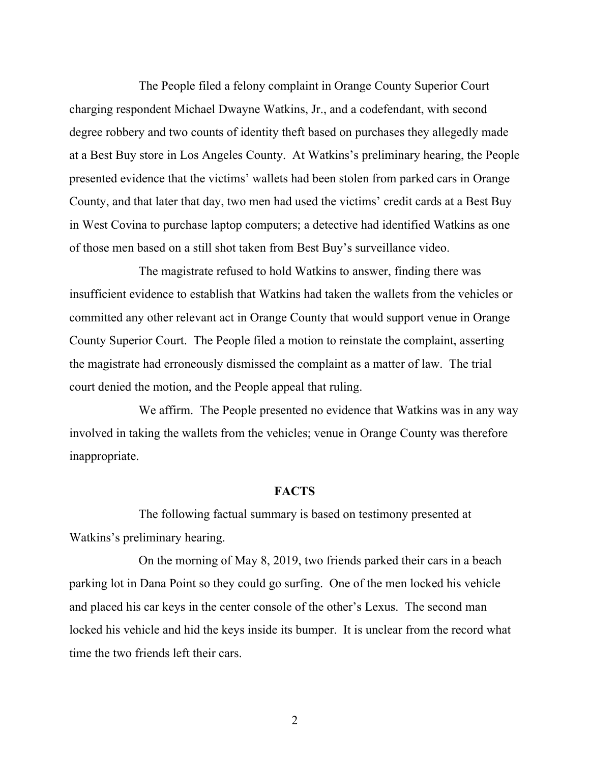The People filed a felony complaint in Orange County Superior Court charging respondent Michael Dwayne Watkins, Jr., and a codefendant, with second degree robbery and two counts of identity theft based on purchases they allegedly made at a Best Buy store in Los Angeles County. At Watkins's preliminary hearing, the People presented evidence that the victims' wallets had been stolen from parked cars in Orange County, and that later that day, two men had used the victims' credit cards at a Best Buy in West Covina to purchase laptop computers; a detective had identified Watkins as one of those men based on a still shot taken from Best Buy's surveillance video.

The magistrate refused to hold Watkins to answer, finding there was insufficient evidence to establish that Watkins had taken the wallets from the vehicles or committed any other relevant act in Orange County that would support venue in Orange County Superior Court. The People filed a motion to reinstate the complaint, asserting the magistrate had erroneously dismissed the complaint as a matter of law. The trial court denied the motion, and the People appeal that ruling.

We affirm. The People presented no evidence that Watkins was in any way involved in taking the wallets from the vehicles; venue in Orange County was therefore inappropriate.

#### **FACTS**

The following factual summary is based on testimony presented at Watkins's preliminary hearing.

On the morning of May 8, 2019, two friends parked their cars in a beach parking lot in Dana Point so they could go surfing. One of the men locked his vehicle and placed his car keys in the center console of the other's Lexus. The second man locked his vehicle and hid the keys inside its bumper. It is unclear from the record what time the two friends left their cars.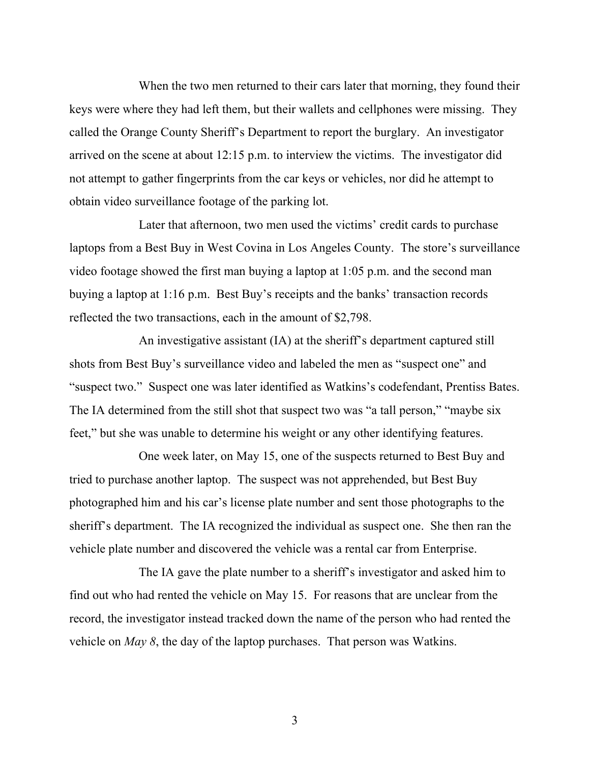When the two men returned to their cars later that morning, they found their keys were where they had left them, but their wallets and cellphones were missing. They called the Orange County Sheriff's Department to report the burglary. An investigator arrived on the scene at about 12:15 p.m. to interview the victims. The investigator did not attempt to gather fingerprints from the car keys or vehicles, nor did he attempt to obtain video surveillance footage of the parking lot.

Later that afternoon, two men used the victims' credit cards to purchase laptops from a Best Buy in West Covina in Los Angeles County. The store's surveillance video footage showed the first man buying a laptop at 1:05 p.m. and the second man buying a laptop at 1:16 p.m. Best Buy's receipts and the banks' transaction records reflected the two transactions, each in the amount of \$2,798.

An investigative assistant (IA) at the sheriff's department captured still shots from Best Buy's surveillance video and labeled the men as "suspect one" and "suspect two." Suspect one was later identified as Watkins's codefendant, Prentiss Bates. The IA determined from the still shot that suspect two was "a tall person," "maybe six feet," but she was unable to determine his weight or any other identifying features.

One week later, on May 15, one of the suspects returned to Best Buy and tried to purchase another laptop. The suspect was not apprehended, but Best Buy photographed him and his car's license plate number and sent those photographs to the sheriff's department. The IA recognized the individual as suspect one. She then ran the vehicle plate number and discovered the vehicle was a rental car from Enterprise.

The IA gave the plate number to a sheriff's investigator and asked him to find out who had rented the vehicle on May 15. For reasons that are unclear from the record, the investigator instead tracked down the name of the person who had rented the vehicle on *May 8*, the day of the laptop purchases. That person was Watkins.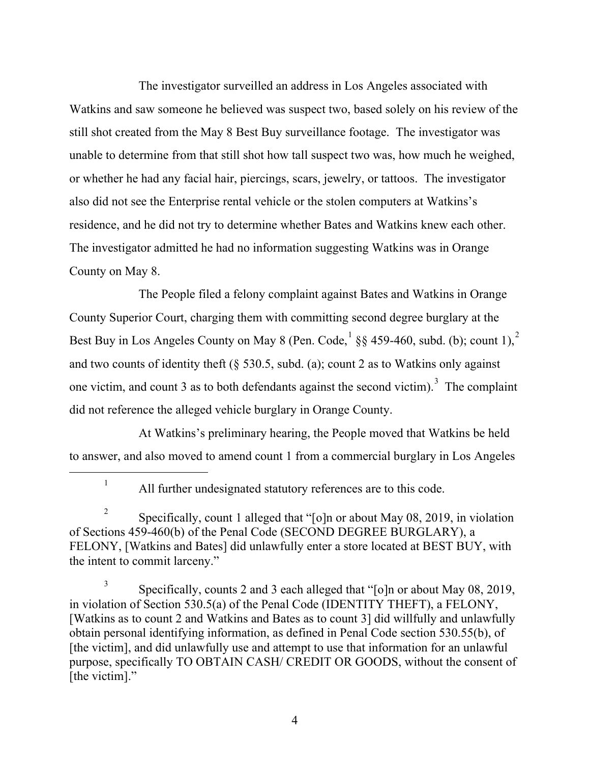The investigator surveilled an address in Los Angeles associated with Watkins and saw someone he believed was suspect two, based solely on his review of the still shot created from the May 8 Best Buy surveillance footage. The investigator was unable to determine from that still shot how tall suspect two was, how much he weighed, or whether he had any facial hair, piercings, scars, jewelry, or tattoos. The investigator also did not see the Enterprise rental vehicle or the stolen computers at Watkins's residence, and he did not try to determine whether Bates and Watkins knew each other. The investigator admitted he had no information suggesting Watkins was in Orange County on May 8.

The People filed a felony complaint against Bates and Watkins in Orange County Superior Court, charging them with committing second degree burglary at the Best Buy in Los Angeles County on May 8 (Pen. Code,  $\frac{1}{2}$  $\frac{1}{2}$  $\frac{1}{2}$  $\frac{1}{2}$  $\frac{1}{2}$  §§ 459-460, subd. (b); count 1),  $\frac{2}{3}$ and two counts of identity theft (§ 530.5, subd. (a); count 2 as to Watkins only against one victim, and count [3](#page-3-2) as to both defendants against the second victim).<sup>3</sup> The complaint did not reference the alleged vehicle burglary in Orange County.

At Watkins's preliminary hearing, the People moved that Watkins be held to answer, and also moved to amend count 1 from a commercial burglary in Los Angeles

<sup>1</sup> All further undesignated statutory references are to this code.

<span id="page-3-1"></span><span id="page-3-0"></span><sup>2</sup> Specifically, count 1 alleged that "[o]n or about May 08, 2019, in violation of Sections 459-460(b) of the Penal Code (SECOND DEGREE BURGLARY), a FELONY, [Watkins and Bates] did unlawfully enter a store located at BEST BUY, with the intent to commit larceny."

<span id="page-3-2"></span><sup>3</sup> Specifically, counts 2 and 3 each alleged that "[o]n or about May 08, 2019, in violation of Section 530.5(a) of the Penal Code (IDENTITY THEFT), a FELONY, [Watkins as to count 2 and Watkins and Bates as to count 3] did willfully and unlawfully obtain personal identifying information, as defined in Penal Code section 530.55(b), of [the victim], and did unlawfully use and attempt to use that information for an unlawful purpose, specifically TO OBTAIN CASH/ CREDIT OR GOODS, without the consent of [the victim]."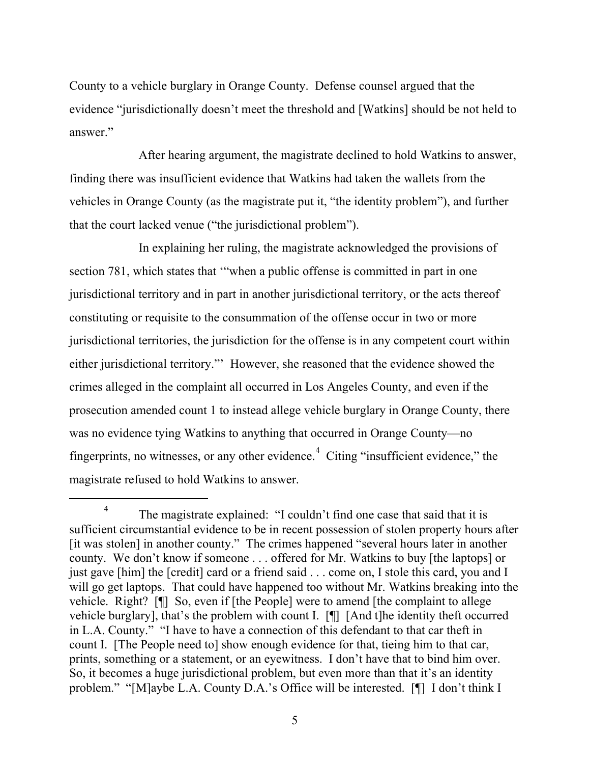County to a vehicle burglary in Orange County. Defense counsel argued that the evidence "jurisdictionally doesn't meet the threshold and [Watkins] should be not held to answer."

After hearing argument, the magistrate declined to hold Watkins to answer, finding there was insufficient evidence that Watkins had taken the wallets from the vehicles in Orange County (as the magistrate put it, "the identity problem"), and further that the court lacked venue ("the jurisdictional problem").

In explaining her ruling, the magistrate acknowledged the provisions of section 781, which states that '"when a public offense is committed in part in one jurisdictional territory and in part in another jurisdictional territory, or the acts thereof constituting or requisite to the consummation of the offense occur in two or more jurisdictional territories, the jurisdiction for the offense is in any competent court within either jurisdictional territory."' However, she reasoned that the evidence showed the crimes alleged in the complaint all occurred in Los Angeles County, and even if the prosecution amended count 1 to instead allege vehicle burglary in Orange County, there was no evidence tying Watkins to anything that occurred in Orange County—no fingerprints, no witnesses, or any other evidence. $4$  Citing "insufficient evidence," the magistrate refused to hold Watkins to answer.

<span id="page-4-0"></span>The magistrate explained: "I couldn't find one case that said that it is sufficient circumstantial evidence to be in recent possession of stolen property hours after [it was stolen] in another county." The crimes happened "several hours later in another county. We don't know if someone . . . offered for Mr. Watkins to buy [the laptops] or just gave [him] the [credit] card or a friend said . . . come on, I stole this card, you and I will go get laptops. That could have happened too without Mr. Watkins breaking into the vehicle. Right? [¶] So, even if [the People] were to amend [the complaint to allege vehicle burglary], that's the problem with count I. [¶] [And t]he identity theft occurred in L.A. County." "I have to have a connection of this defendant to that car theft in count I. [The People need to] show enough evidence for that, tieing him to that car, prints, something or a statement, or an eyewitness. I don't have that to bind him over. So, it becomes a huge jurisdictional problem, but even more than that it's an identity problem." "[M]aybe L.A. County D.A.'s Office will be interested. [¶] I don't think I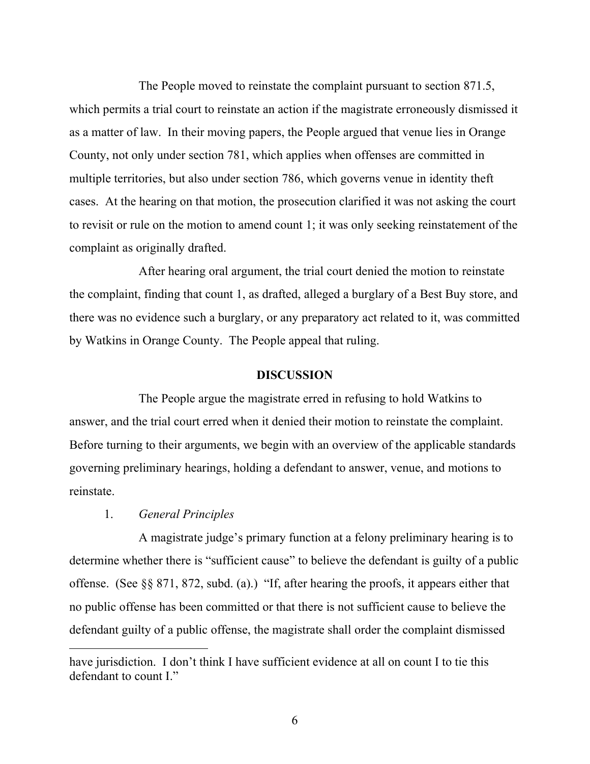The People moved to reinstate the complaint pursuant to section 871.5, which permits a trial court to reinstate an action if the magistrate erroneously dismissed it as a matter of law. In their moving papers, the People argued that venue lies in Orange County, not only under section 781, which applies when offenses are committed in multiple territories, but also under section 786, which governs venue in identity theft cases. At the hearing on that motion, the prosecution clarified it was not asking the court to revisit or rule on the motion to amend count 1; it was only seeking reinstatement of the complaint as originally drafted.

After hearing oral argument, the trial court denied the motion to reinstate the complaint, finding that count 1, as drafted, alleged a burglary of a Best Buy store, and there was no evidence such a burglary, or any preparatory act related to it, was committed by Watkins in Orange County. The People appeal that ruling.

#### **DISCUSSION**

The People argue the magistrate erred in refusing to hold Watkins to answer, and the trial court erred when it denied their motion to reinstate the complaint. Before turning to their arguments, we begin with an overview of the applicable standards governing preliminary hearings, holding a defendant to answer, venue, and motions to reinstate.

### 1. *General Principles*

A magistrate judge's primary function at a felony preliminary hearing is to determine whether there is "sufficient cause" to believe the defendant is guilty of a public offense. (See §§ 871, 872, subd. (a).) "If, after hearing the proofs, it appears either that no public offense has been committed or that there is not sufficient cause to believe the defendant guilty of a public offense, the magistrate shall order the complaint dismissed

have jurisdiction. I don't think I have sufficient evidence at all on count I to tie this defendant to count I."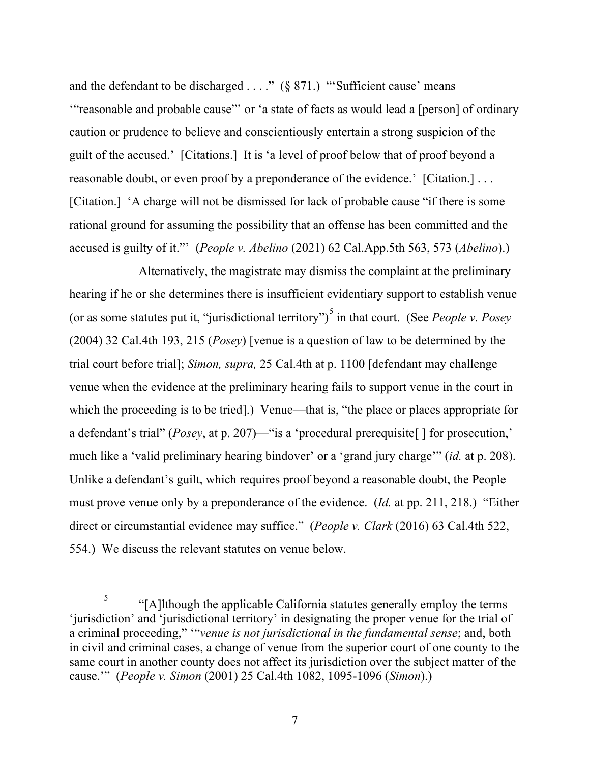and the defendant to be discharged  $\dots$ ." (§ 871.) "Sufficient cause' means '"reasonable and probable cause"' or 'a state of facts as would lead a [person] of ordinary caution or prudence to believe and conscientiously entertain a strong suspicion of the guilt of the accused.' [Citations.] It is 'a level of proof below that of proof beyond a reasonable doubt, or even proof by a preponderance of the evidence.' [Citation.]... [Citation.] 'A charge will not be dismissed for lack of probable cause "if there is some rational ground for assuming the possibility that an offense has been committed and the accused is guilty of it."' (*People v. Abelino* (2021) 62 Cal.App.5th 563, 573 (*Abelino*).)

Alternatively, the magistrate may dismiss the complaint at the preliminary hearing if he or she determines there is insufficient evidentiary support to establish venue (or as some statutes put it, "jurisdictional territory") [5](#page-6-0) in that court. (See *People v. Posey* (2004) 32 Cal.4th 193, 215 (*Posey*) [venue is a question of law to be determined by the trial court before trial]; *Simon, supra,* 25 Cal.4th at p. 1100 [defendant may challenge venue when the evidence at the preliminary hearing fails to support venue in the court in which the proceeding is to be tried.) Venue—that is, "the place or places appropriate for a defendant's trial" (*Posey*, at p. 207)—"is a 'procedural prerequisite[ ] for prosecution,' much like a 'valid preliminary hearing bindover' or a 'grand jury charge'" (*id.* at p. 208). Unlike a defendant's guilt, which requires proof beyond a reasonable doubt, the People must prove venue only by a preponderance of the evidence. (*Id.* at pp. 211, 218.) "Either direct or circumstantial evidence may suffice." (*People v. Clark* (2016) 63 Cal.4th 522, 554.) We discuss the relevant statutes on venue below.

<span id="page-6-0"></span> $\frac{5}{5}$  "[A]lthough the applicable California statutes generally employ the terms 'jurisdiction' and 'jurisdictional territory' in designating the proper venue for the trial of a criminal proceeding," '"*venue is not jurisdictional in the fundamental sense*; and, both in civil and criminal cases, a change of venue from the superior court of one county to the same court in another county does not affect its jurisdiction over the subject matter of the cause.'" (*People v. Simon* (2001) 25 Cal.4th 1082, 1095-1096 (*Simon*).)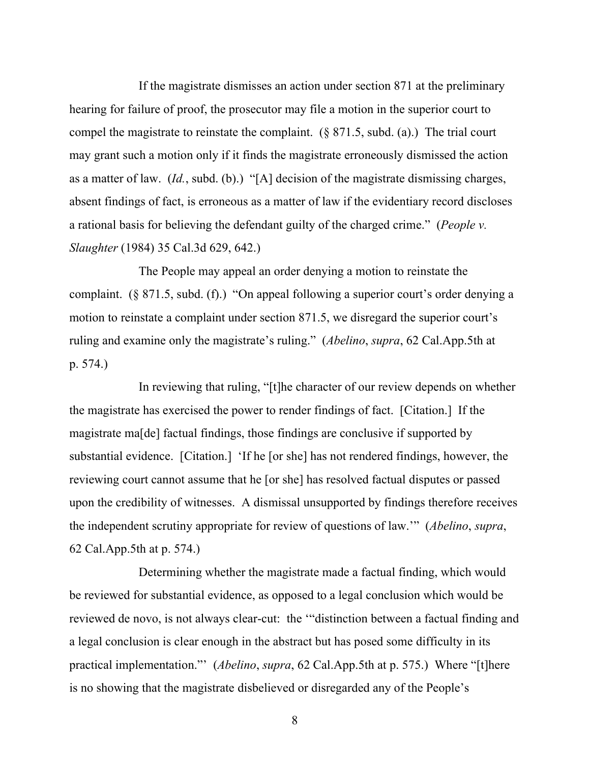If the magistrate dismisses an action under section 871 at the preliminary hearing for failure of proof, the prosecutor may file a motion in the superior court to compel the magistrate to reinstate the complaint. (§ 871.5, subd. (a).) The trial court may grant such a motion only if it finds the magistrate erroneously dismissed the action as a matter of law. (*Id.*, subd. (b).) "[A] decision of the magistrate dismissing charges, absent findings of fact, is erroneous as a matter of law if the evidentiary record discloses a rational basis for believing the defendant guilty of the charged crime." (*People v. Slaughter* (1984) 35 Cal.3d 629, 642.)

The People may appeal an order denying a motion to reinstate the complaint. (§ 871.5, subd. (f).) "On appeal following a superior court's order denying a motion to reinstate a complaint under section 871.5, we disregard the superior court's ruling and examine only the magistrate's ruling." (*Abelino*, *supra*, 62 Cal.App.5th at p. 574.)

In reviewing that ruling, "[t]he character of our review depends on whether the magistrate has exercised the power to render findings of fact. [Citation.] If the magistrate ma[de] factual findings, those findings are conclusive if supported by substantial evidence. [Citation.] 'If he [or she] has not rendered findings, however, the reviewing court cannot assume that he [or she] has resolved factual disputes or passed upon the credibility of witnesses. A dismissal unsupported by findings therefore receives the independent scrutiny appropriate for review of questions of law.'" (*Abelino*, *supra*, 62 Cal.App.5th at p. 574.)

Determining whether the magistrate made a factual finding, which would be reviewed for substantial evidence, as opposed to a legal conclusion which would be reviewed de novo, is not always clear-cut: the '"distinction between a factual finding and a legal conclusion is clear enough in the abstract but has posed some difficulty in its practical implementation."' (*Abelino*, *supra*, 62 Cal.App.5th at p. 575.) Where "[t]here is no showing that the magistrate disbelieved or disregarded any of the People's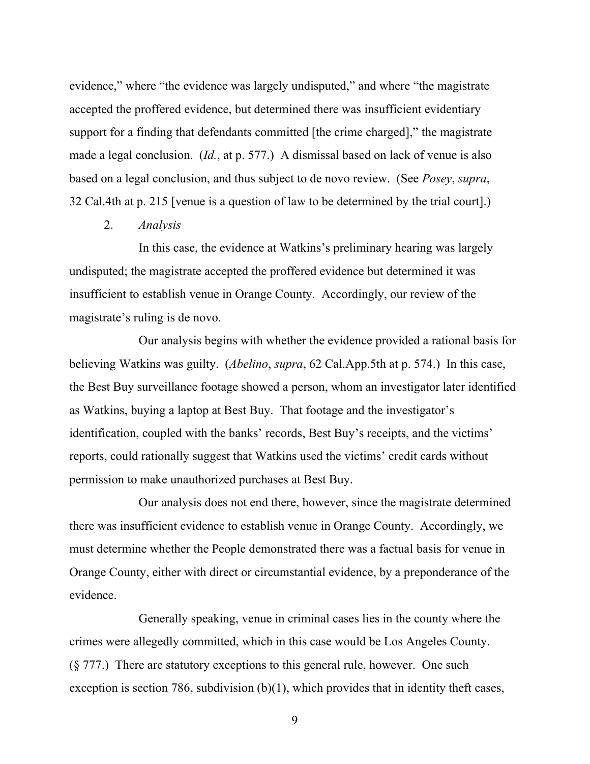evidence," where "the evidence was largely undisputed," and where "the magistrate accepted the proffered evidence, but determined there was insufficient evidentiary support for a finding that defendants committed [the crime charged]," the magistrate made a legal conclusion. (*Id.*, at p. 577.) A dismissal based on lack of venue is also based on a legal conclusion, and thus subject to de novo review. (See *Posey*, *supra*, 32 Cal.4th at p. 215 [venue is a question of law to be determined by the trial court].)

2. *Analysis*

In this case, the evidence at Watkins's preliminary hearing was largely undisputed; the magistrate accepted the proffered evidence but determined it was insufficient to establish venue in Orange County. Accordingly, our review of the magistrate's ruling is de novo.

Our analysis begins with whether the evidence provided a rational basis for believing Watkins was guilty. (*Abelino*, *supra*, 62 Cal.App.5th at p. 574.) In this case, the Best Buy surveillance footage showed a person, whom an investigator later identified as Watkins, buying a laptop at Best Buy. That footage and the investigator's identification, coupled with the banks' records, Best Buy's receipts, and the victims' reports, could rationally suggest that Watkins used the victims' credit cards without permission to make unauthorized purchases at Best Buy.

Our analysis does not end there, however, since the magistrate determined there was insufficient evidence to establish venue in Orange County. Accordingly, we must determine whether the People demonstrated there was a factual basis for venue in Orange County, either with direct or circumstantial evidence, by a preponderance of the evidence.

Generally speaking, venue in criminal cases lies in the county where the crimes were allegedly committed, which in this case would be Los Angeles County. (§ 777.) There are statutory exceptions to this general rule, however. One such exception is section 786, subdivision (b)(1), which provides that in identity theft cases,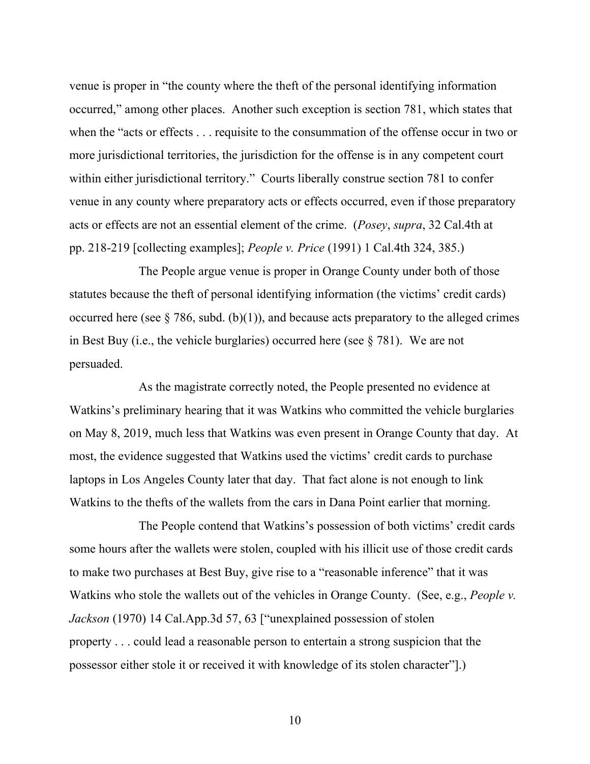venue is proper in "the county where the theft of the personal identifying information occurred," among other places. Another such exception is section 781, which states that when the "acts or effects . . . requisite to the consummation of the offense occur in two or more jurisdictional territories, the jurisdiction for the offense is in any competent court within either jurisdictional territory." Courts liberally construe section 781 to confer venue in any county where preparatory acts or effects occurred, even if those preparatory acts or effects are not an essential element of the crime. (*Posey*, *supra*, 32 Cal.4th at pp. 218-219 [collecting examples]; *People v. Price* (1991) 1 Cal.4th 324, 385.)

The People argue venue is proper in Orange County under both of those statutes because the theft of personal identifying information (the victims' credit cards) occurred here (see  $\S 786$ , subd. (b)(1)), and because acts preparatory to the alleged crimes in Best Buy (i.e., the vehicle burglaries) occurred here (see § 781). We are not persuaded.

As the magistrate correctly noted, the People presented no evidence at Watkins's preliminary hearing that it was Watkins who committed the vehicle burglaries on May 8, 2019, much less that Watkins was even present in Orange County that day. At most, the evidence suggested that Watkins used the victims' credit cards to purchase laptops in Los Angeles County later that day. That fact alone is not enough to link Watkins to the thefts of the wallets from the cars in Dana Point earlier that morning.

The People contend that Watkins's possession of both victims' credit cards some hours after the wallets were stolen, coupled with his illicit use of those credit cards to make two purchases at Best Buy, give rise to a "reasonable inference" that it was Watkins who stole the wallets out of the vehicles in Orange County. (See, e.g., *People v.*) *Jackson* (1970) 14 Cal.App.3d 57, 63 ["unexplained possession of stolen property . . . could lead a reasonable person to entertain a strong suspicion that the possessor either stole it or received it with knowledge of its stolen character"].)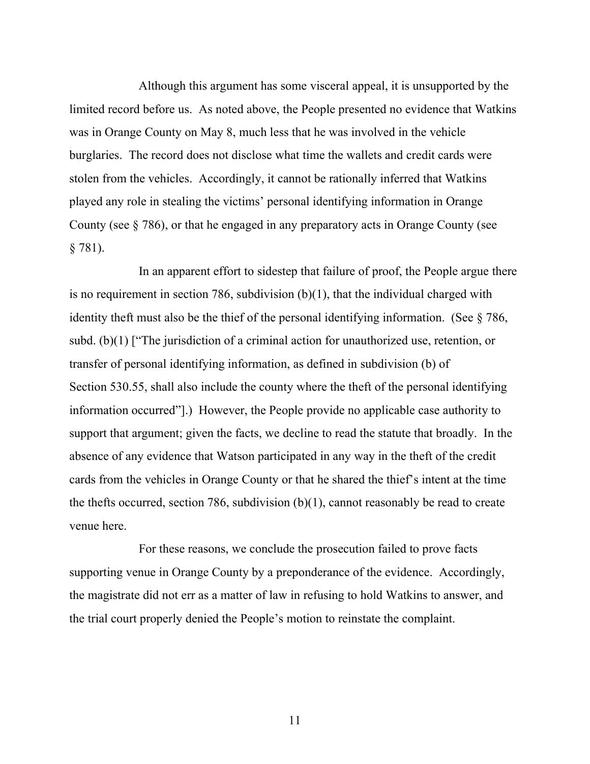Although this argument has some visceral appeal, it is unsupported by the limited record before us. As noted above, the People presented no evidence that Watkins was in Orange County on May 8, much less that he was involved in the vehicle burglaries. The record does not disclose what time the wallets and credit cards were stolen from the vehicles. Accordingly, it cannot be rationally inferred that Watkins played any role in stealing the victims' personal identifying information in Orange County (see § 786), or that he engaged in any preparatory acts in Orange County (see § 781).

In an apparent effort to sidestep that failure of proof, the People argue there is no requirement in section 786, subdivision (b)(1), that the individual charged with identity theft must also be the thief of the personal identifying information. (See § 786, subd. (b)(1) ["The jurisdiction of a criminal action for unauthorized use, retention, or transfer of personal identifying information, as defined in subdivision (b) of Section 530.55, shall also include the county where the theft of the personal identifying information occurred"].) However, the People provide no applicable case authority to support that argument; given the facts, we decline to read the statute that broadly. In the absence of any evidence that Watson participated in any way in the theft of the credit cards from the vehicles in Orange County or that he shared the thief's intent at the time the thefts occurred, section 786, subdivision  $(b)(1)$ , cannot reasonably be read to create venue here.

For these reasons, we conclude the prosecution failed to prove facts supporting venue in Orange County by a preponderance of the evidence. Accordingly, the magistrate did not err as a matter of law in refusing to hold Watkins to answer, and the trial court properly denied the People's motion to reinstate the complaint.